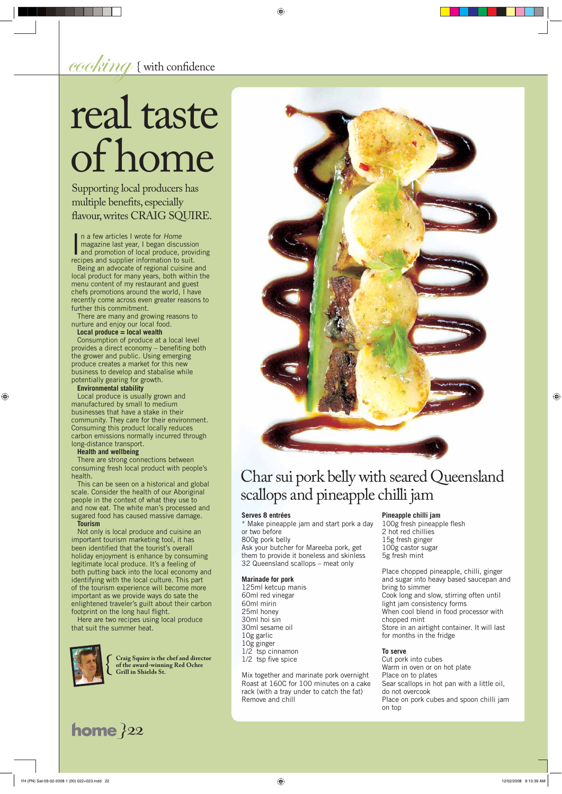Supporting local producers has multiple benefits, especially flavour, writes CRAIG SQUIRE.

 $\operatorname{cocking}$  { with confidence

# real taste of home

{ **Craig Squire is the chef and director of the award-winning Red Ochre Grill in Shields St.** 

125ml ketcup manis 60ml red vinegar 60ml mirin 25ml honey 30ml hoi sin 30ml sesame oil 10g garlic 10g ginger 1/2 tsp cinnamon 1/2 tsp five spice

#### **Serves 8 entrées**

⊕

\* Make pineapple jam and start pork a day or two before

800g pork belly

Ask your butcher for Mareeba pork, get them to provide it boneless and skinless 32 Queensland scallops – meat only

100g fresh pineapple flesh 2 hot red chillies 15g fresh ginger 100g castor sugar 5g fresh mint

#### **Marinade for pork**

Mix together and marinate pork overnight Roast at 160C for 100 minutes on a cake rack (with a tray under to catch the fat) Remove and chill

# **Pineapple chilli jam**

In a few articles I wrote for Home<br>
magazine last year, I began discussion<br>
and promotion of local produce, providing<br>
recipes and supplier information to suit n a few articles I wrote for Home magazine last year, I began discussion recipes and supplier information to suit.

> Place chopped pineapple, chilli, ginger and sugar into heavy based saucepan and bring to simmer Cook long and slow, stirring often until light jam consistency forms When cool blend in food processor with chopped mint Store in an airtight container. It will last for months in the fridge

## **To serve**

Cut pork into cubes Warm in oven or on hot plate Place on to plates Sear scallops in hot pan with a little oil, do not overcook Place on pork cubes and spoon chilli jam on top

⊕

# Char sui pork belly with seared Queensland scallops and pineapple chilli jam

enlightened traveler's guilt about their carbon footprint on the long haul flight.

**22 home**  *}22*

Being an advocate of regional cuisine and local product for many years, both within the menu content of my restaurant and guest chefs promotions around the world, I have recently come across even greater reasons to further this commitment.

There are many and growing reasons to nurture and enjoy our local food.

# **Local produce = local wealth**

Consumption of produce at a local level provides a direct economy  $-$  benefiting both the grower and public. Using emerging produce creates a market for this new business to develop and stabalise while potentially gearing for growth.

#### **Environmental stability**

 $\bigoplus$ 

Local produce is usually grown and manufactured by small to medium businesses that have a stake in their community. They care for their environment. Consuming this product locally reduces carbon emissions normally incurred through long-distance transport.

#### **Health and wellbeing**

There are strong connections between consuming fresh local product with people's health.

This can be seen on a historical and global scale. Consider the health of our Aboriginal people in the context of what they use to and now eat. The white man's processed and sugared food has caused massive damage.

#### **Tourism**

Not only is local produce and cuisine an important tourism marketing tool, it has been identified that the tourist's overall holiday enjoyment is enhance by consuming legitimate local produce. It's a feeling of both putting back into the local economy and identifying with the local culture. This part of the tourism experience will become more important as we provide ways do sate the



Here are two recipes using local produce that suit the summer heat.